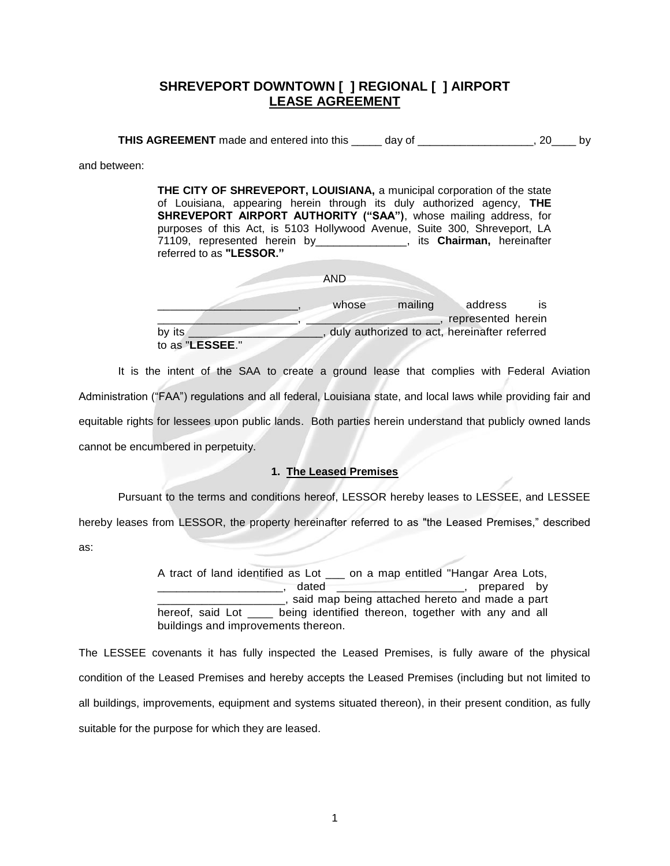# **SHREVEPORT DOWNTOWN [ ] REGIONAL [ ] AIRPORT LEASE AGREEMENT**

**THIS AGREEMENT** made and entered into this \_\_\_\_\_\_ day of \_\_\_\_\_\_\_\_\_\_\_\_\_\_\_\_\_\_, 20\_\_\_\_ by

and between:

**THE CITY OF SHREVEPORT, LOUISIANA,** a municipal corporation of the state of Louisiana, appearing herein through its duly authorized agency, **THE SHREVEPORT AIRPORT AUTHORITY ("SAA")**, whose mailing address, for purposes of this Act, is 5103 Hollywood Avenue, Suite 300, Shreveport, LA 71109, represented herein by\_\_\_\_\_\_\_\_\_\_\_\_\_\_\_, its **Chairman,** hereinafter referred to as **"LESSOR."**

|                           | AND   |                                              |                               |     |
|---------------------------|-------|----------------------------------------------|-------------------------------|-----|
|                           | whose | mailing                                      | address<br>represented herein | IS. |
| by its<br>to as "LESSEE." |       | duly authorized to act, hereinafter referred |                               |     |

It is the intent of the SAA to create a ground lease that complies with Federal Aviation Administration ("FAA") regulations and all federal, Louisiana state, and local laws while providing fair and equitable rights for lessees upon public lands. Both parties herein understand that publicly owned lands cannot be encumbered in perpetuity.

### **1. The Leased Premises**

Pursuant to the terms and conditions hereof, LESSOR hereby leases to LESSEE, and LESSEE hereby leases from LESSOR, the property hereinafter referred to as "the Leased Premises," described as:

> A tract of land identified as Lot \_\_\_ on a map entitled "Hangar Area Lots, \_\_\_\_\_\_\_\_\_\_\_\_\_\_\_\_\_\_\_\_\_\_\_\_\_\_\_, dated \_\_\_\_\_\_\_\_\_\_\_\_\_\_\_\_\_\_\_\_\_\_\_\_\_\_\_\_\_, prepared by \_\_\_\_\_\_\_\_\_\_\_\_\_\_\_\_\_\_\_\_, said map being attached hereto and made a part hereof, said Lot \_\_\_\_ being identified thereon, together with any and all buildings and improvements thereon.

The LESSEE covenants it has fully inspected the Leased Premises, is fully aware of the physical condition of the Leased Premises and hereby accepts the Leased Premises (including but not limited to all buildings, improvements, equipment and systems situated thereon), in their present condition, as fully suitable for the purpose for which they are leased.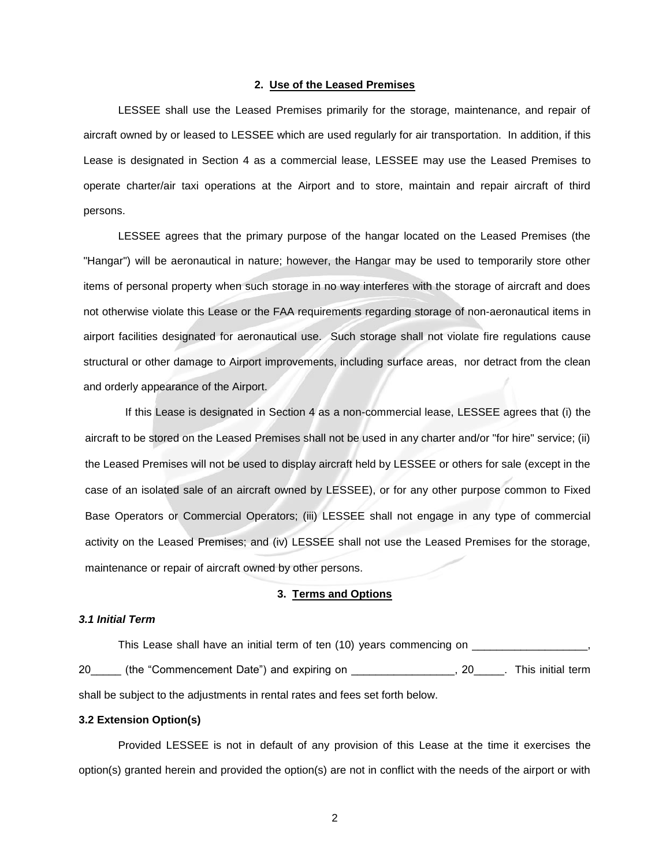### **2. Use of the Leased Premises**

LESSEE shall use the Leased Premises primarily for the storage, maintenance, and repair of aircraft owned by or leased to LESSEE which are used regularly for air transportation. In addition, if this Lease is designated in Section 4 as a commercial lease, LESSEE may use the Leased Premises to operate charter/air taxi operations at the Airport and to store, maintain and repair aircraft of third persons.

LESSEE agrees that the primary purpose of the hangar located on the Leased Premises (the "Hangar") will be aeronautical in nature; however, the Hangar may be used to temporarily store other items of personal property when such storage in no way interferes with the storage of aircraft and does not otherwise violate this Lease or the FAA requirements regarding storage of non-aeronautical items in airport facilities designated for aeronautical use. Such storage shall not violate fire regulations cause structural or other damage to Airport improvements, including surface areas, nor detract from the clean and orderly appearance of the Airport.

If this Lease is designated in Section 4 as a non-commercial lease, LESSEE agrees that (i) the aircraft to be stored on the Leased Premises shall not be used in any charter and/or "for hire" service; (ii) the Leased Premises will not be used to display aircraft held by LESSEE or others for sale (except in the case of an isolated sale of an aircraft owned by LESSEE), or for any other purpose common to Fixed Base Operators or Commercial Operators; (iii) LESSEE shall not engage in any type of commercial activity on the Leased Premises; and (iv) LESSEE shall not use the Leased Premises for the storage, maintenance or repair of aircraft owned by other persons.

### **3. Terms and Options**

# *3.1 Initial Term*

This Lease shall have an initial term of ten (10) years commencing on \_\_\_\_\_\_\_\_\_\_ 20 (the "Commencement Date") and expiring on This initial term in the statement of the statement of the statement of the statement of the statement of the statement of the statement of the statement of the statement of the shall be subject to the adjustments in rental rates and fees set forth below.

### **3.2 Extension Option(s)**

Provided LESSEE is not in default of any provision of this Lease at the time it exercises the option(s) granted herein and provided the option(s) are not in conflict with the needs of the airport or with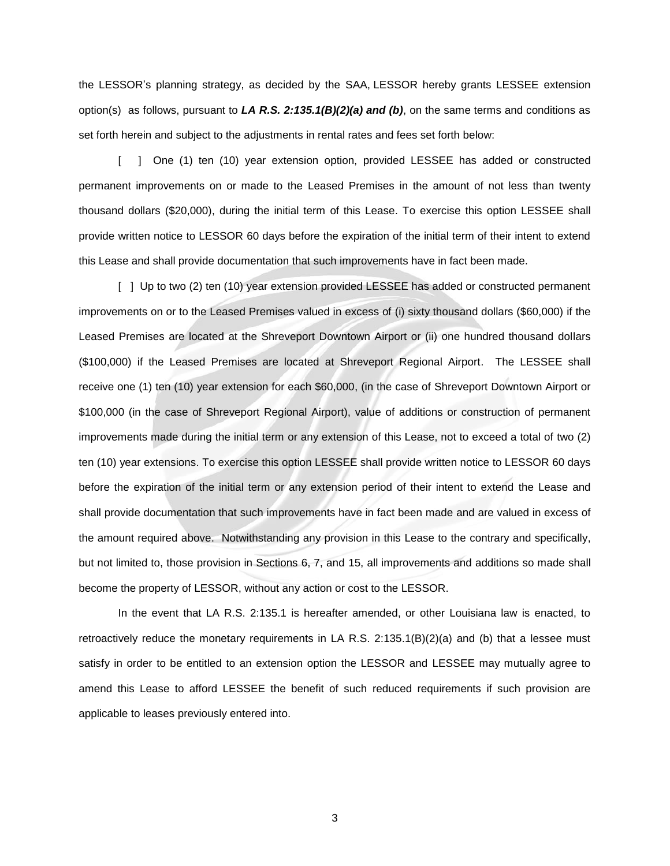the LESSOR's planning strategy, as decided by the SAA, LESSOR hereby grants LESSEE extension option(s) as follows, pursuant to *LA R.S. 2:135.1(B)(2)(a) and (b)*, on the same terms and conditions as set forth herein and subject to the adjustments in rental rates and fees set forth below:

[ ] One (1) ten (10) year extension option, provided LESSEE has added or constructed permanent improvements on or made to the Leased Premises in the amount of not less than twenty thousand dollars (\$20,000), during the initial term of this Lease. To exercise this option LESSEE shall provide written notice to LESSOR 60 days before the expiration of the initial term of their intent to extend this Lease and shall provide documentation that such improvements have in fact been made.

[ ] Up to two (2) ten (10) year extension provided LESSEE has added or constructed permanent improvements on or to the Leased Premises valued in excess of (i) sixty thousand dollars (\$60,000) if the Leased Premises are located at the Shreveport Downtown Airport or (ii) one hundred thousand dollars (\$100,000) if the Leased Premises are located at Shreveport Regional Airport. The LESSEE shall receive one (1) ten (10) year extension for each \$60,000, (in the case of Shreveport Downtown Airport or \$100,000 (in the case of Shreveport Regional Airport), value of additions or construction of permanent improvements made during the initial term or any extension of this Lease, not to exceed a total of two (2) ten (10) year extensions. To exercise this option LESSEE shall provide written notice to LESSOR 60 days before the expiration of the initial term or any extension period of their intent to extend the Lease and shall provide documentation that such improvements have in fact been made and are valued in excess of the amount required above. Notwithstanding any provision in this Lease to the contrary and specifically, but not limited to, those provision in Sections 6, 7, and 15, all improvements and additions so made shall become the property of LESSOR, without any action or cost to the LESSOR.

In the event that LA R.S. 2:135.1 is hereafter amended, or other Louisiana law is enacted, to retroactively reduce the monetary requirements in LA R.S. 2:135.1(B)(2)(a) and (b) that a lessee must satisfy in order to be entitled to an extension option the LESSOR and LESSEE may mutually agree to amend this Lease to afford LESSEE the benefit of such reduced requirements if such provision are applicable to leases previously entered into.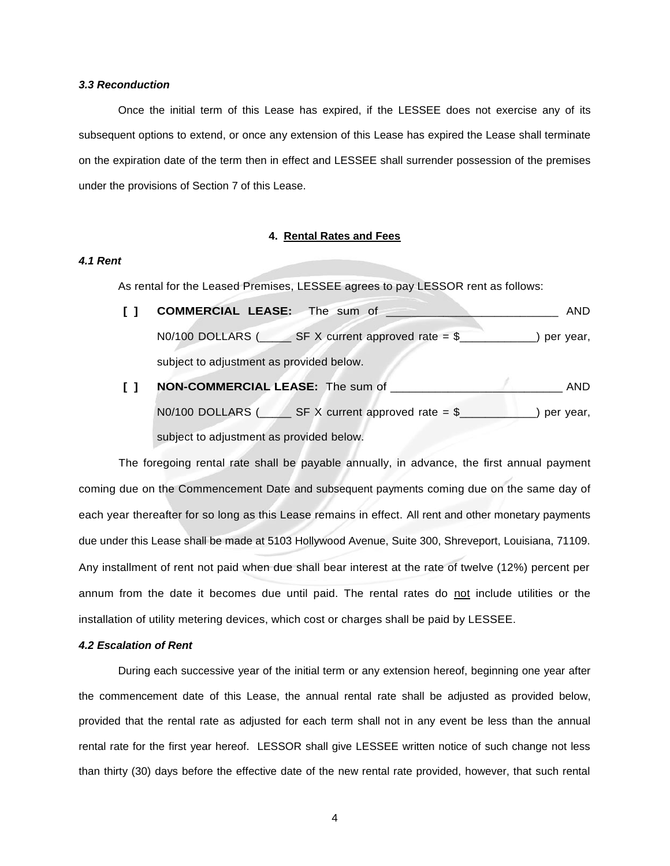#### *3.3 Reconduction*

Once the initial term of this Lease has expired, if the LESSEE does not exercise any of its subsequent options to extend, or once any extension of this Lease has expired the Lease shall terminate on the expiration date of the term then in effect and LESSEE shall surrender possession of the premises under the provisions of Section 7 of this Lease.

### **4. Rental Rates and Fees**

### *4.1 Rent*

As rental for the Leased Premises, LESSEE agrees to pay LESSOR rent as follows:

- **[ ] COMMERCIAL LEASE:** The sum of \_\_\_\_\_\_\_\_\_\_\_\_\_\_\_\_\_\_\_\_\_\_\_\_\_\_\_ AND  $N0/100$  DOLLARS ( $\_\_\_\$ SF X current approved rate = \$ $\_\_\_\_\_\_\_\_\$ ) per year, subject to adjustment as provided below.
- **[ ] NON-COMMERCIAL LEASE:** The sum of \_\_\_\_\_\_\_\_\_\_\_\_\_\_\_\_\_\_\_\_\_\_\_\_\_\_\_ AND  $NO/100$  DOLLARS ( $S = S$ F X current approved rate = \$ $S =$  ) per year, subject to adjustment as provided below.

The foregoing rental rate shall be payable annually, in advance, the first annual payment coming due on the Commencement Date and subsequent payments coming due on the same day of each year thereafter for so long as this Lease remains in effect. All rent and other monetary payments due under this Lease shall be made at 5103 Hollywood Avenue, Suite 300, Shreveport, Louisiana, 71109. Any installment of rent not paid when due shall bear interest at the rate of twelve (12%) percent per annum from the date it becomes due until paid. The rental rates do not include utilities or the installation of utility metering devices, which cost or charges shall be paid by LESSEE.

### *4.2 Escalation of Rent*

During each successive year of the initial term or any extension hereof, beginning one year after the commencement date of this Lease, the annual rental rate shall be adjusted as provided below, provided that the rental rate as adjusted for each term shall not in any event be less than the annual rental rate for the first year hereof. LESSOR shall give LESSEE written notice of such change not less than thirty (30) days before the effective date of the new rental rate provided, however, that such rental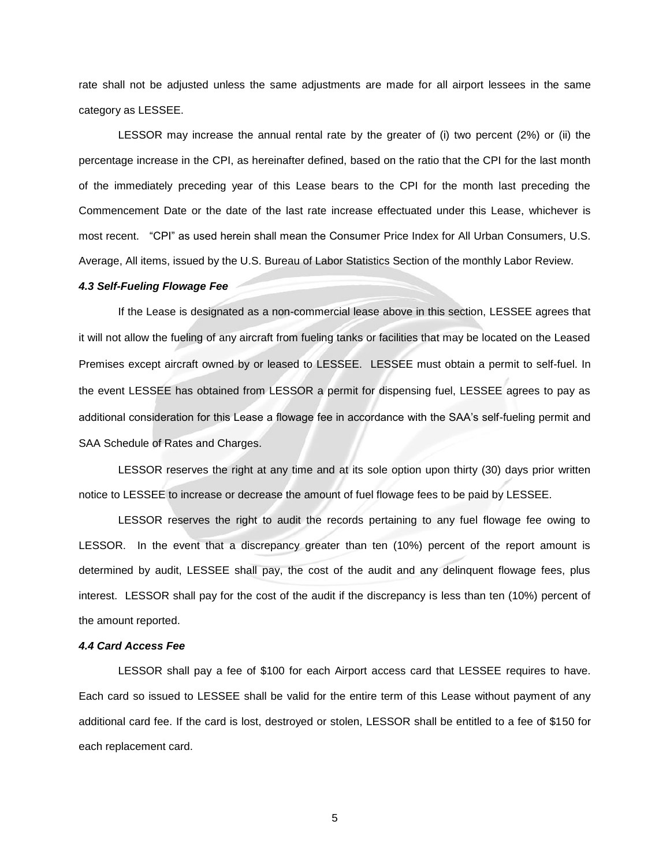rate shall not be adjusted unless the same adjustments are made for all airport lessees in the same category as LESSEE.

LESSOR may increase the annual rental rate by the greater of (i) two percent (2%) or (ii) the percentage increase in the CPI, as hereinafter defined, based on the ratio that the CPI for the last month of the immediately preceding year of this Lease bears to the CPI for the month last preceding the Commencement Date or the date of the last rate increase effectuated under this Lease, whichever is most recent. "CPI" as used herein shall mean the Consumer Price Index for All Urban Consumers, U.S. Average, All items, issued by the U.S. Bureau of Labor Statistics Section of the monthly Labor Review.

#### *4.3 Self-Fueling Flowage Fee*

If the Lease is designated as a non-commercial lease above in this section, LESSEE agrees that it will not allow the fueling of any aircraft from fueling tanks or facilities that may be located on the Leased Premises except aircraft owned by or leased to LESSEE. LESSEE must obtain a permit to self-fuel. In the event LESSEE has obtained from LESSOR a permit for dispensing fuel, LESSEE agrees to pay as additional consideration for this Lease a flowage fee in accordance with the SAA's self-fueling permit and SAA Schedule of Rates and Charges.

LESSOR reserves the right at any time and at its sole option upon thirty (30) days prior written notice to LESSEE to increase or decrease the amount of fuel flowage fees to be paid by LESSEE.

LESSOR reserves the right to audit the records pertaining to any fuel flowage fee owing to LESSOR. In the event that a discrepancy greater than ten (10%) percent of the report amount is determined by audit, LESSEE shall pay, the cost of the audit and any delinquent flowage fees, plus interest. LESSOR shall pay for the cost of the audit if the discrepancy is less than ten (10%) percent of the amount reported.

#### *4.4 Card Access Fee*

LESSOR shall pay a fee of \$100 for each Airport access card that LESSEE requires to have. Each card so issued to LESSEE shall be valid for the entire term of this Lease without payment of any additional card fee. If the card is lost, destroyed or stolen, LESSOR shall be entitled to a fee of \$150 for each replacement card.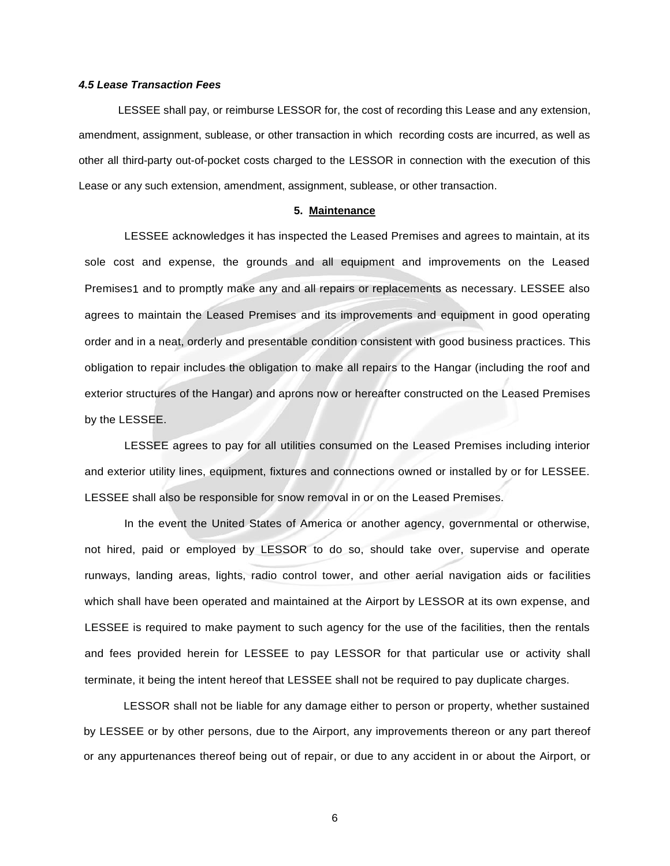### *4.5 Lease Transaction Fees*

LESSEE shall pay, or reimburse LESSOR for, the cost of recording this Lease and any extension, amendment, assignment, sublease, or other transaction in which recording costs are incurred, as well as other all third-party out-of-pocket costs charged to the LESSOR in connection with the execution of this Lease or any such extension, amendment, assignment, sublease, or other transaction.

### **5. Maintenance**

LESSEE acknowledges it has inspected the Leased Premises and agrees to maintain, at its sole cost and expense, the grounds and all equipment and improvements on the Leased Premises1 and to promptly make any and all repairs or replacements as necessary. LESSEE also agrees to maintain the Leased Premises and its improvements and equipment in good operating order and in a neat, orderly and presentable condition consistent with good business practices. This obligation to repair includes the obligation to make all repairs to the Hangar (including the roof and exterior structures of the Hangar) and aprons now or hereafter constructed on the Leased Premises by the LESSEE.

LESSEE agrees to pay for all utilities consumed on the Leased Premises including interior and exterior utility lines, equipment, fixtures and connections owned or installed by or for LESSEE. LESSEE shall also be responsible for snow removal in or on the Leased Premises.

In the event the United States of America or another agency, governmental or otherwise, not hired, paid or employed by LESSOR to do so, should take over, supervise and operate runways, landing areas, lights, radio control tower, and other aerial navigation aids or facilities which shall have been operated and maintained at the Airport by LESSOR at its own expense, and LESSEE is required to make payment to such agency for the use of the facilities, then the rentals and fees provided herein for LESSEE to pay LESSOR for that particular use or activity shall terminate, it being the intent hereof that LESSEE shall not be required to pay duplicate charges.

LESSOR shall not be liable for any damage either to person or property, whether sustained by LESSEE or by other persons, due to the Airport, any improvements thereon or any part thereof or any appurtenances thereof being out of repair, or due to any accident in or about the Airport, or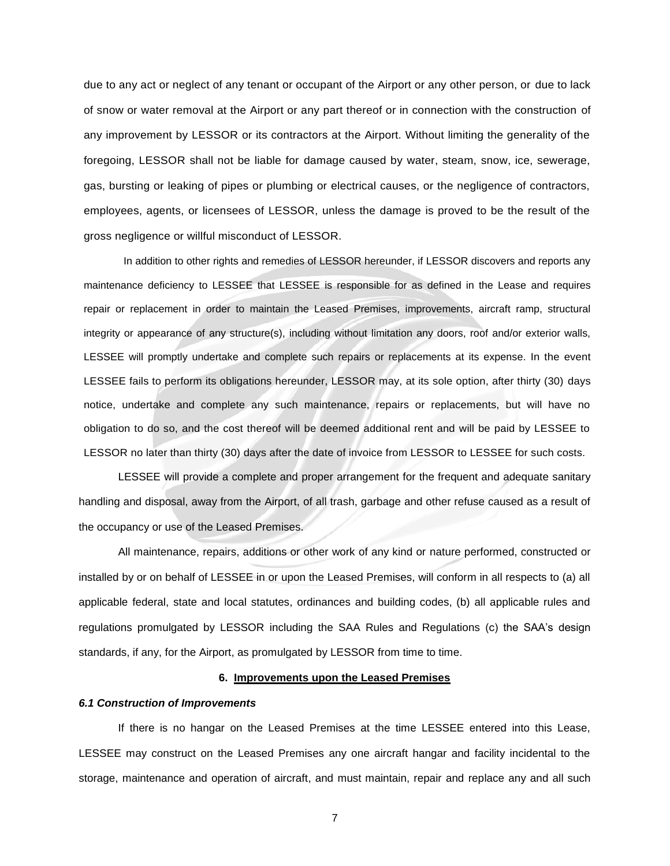due to any act or neglect of any tenant or occupant of the Airport or any other person, or due to lack of snow or water removal at the Airport or any part thereof or in connection with the construction of any improvement by LESSOR or its contractors at the Airport. Without limiting the generality of the foregoing, LESSOR shall not be liable for damage caused by water, steam, snow, ice, sewerage, gas, bursting or leaking of pipes or plumbing or electrical causes, or the negligence of contractors, employees, agents, or licensees of LESSOR, unless the damage is proved to be the result of the gross negligence or willful misconduct of LESSOR.

In addition to other rights and remedies of LESSOR hereunder, if LESSOR discovers and reports any maintenance deficiency to LESSEE that LESSEE is responsible for as defined in the Lease and requires repair or replacement in order to maintain the Leased Premises, improvements, aircraft ramp, structural integrity or appearance of any structure(s), including without limitation any doors, roof and/or exterior walls, LESSEE will promptly undertake and complete such repairs or replacements at its expense. In the event LESSEE fails to perform its obligations hereunder, LESSOR may, at its sole option, after thirty (30) days notice, undertake and complete any such maintenance, repairs or replacements, but will have no obligation to do so, and the cost thereof will be deemed additional rent and will be paid by LESSEE to LESSOR no later than thirty (30) days after the date of invoice from LESSOR to LESSEE for such costs.

LESSEE will provide a complete and proper arrangement for the frequent and adequate sanitary handling and disposal, away from the Airport, of all trash, garbage and other refuse caused as a result of the occupancy or use of the Leased Premises.

All maintenance, repairs, additions or other work of any kind or nature performed, constructed or installed by or on behalf of LESSEE in or upon the Leased Premises, will conform in all respects to (a) all applicable federal, state and local statutes, ordinances and building codes, (b) all applicable rules and regulations promulgated by LESSOR including the SAA Rules and Regulations (c) the SAA's design standards, if any, for the Airport, as promulgated by LESSOR from time to time.

### **6. Improvements upon the Leased Premises**

### *6.1 Construction of Improvements*

If there is no hangar on the Leased Premises at the time LESSEE entered into this Lease, LESSEE may construct on the Leased Premises any one aircraft hangar and facility incidental to the storage, maintenance and operation of aircraft, and must maintain, repair and replace any and all such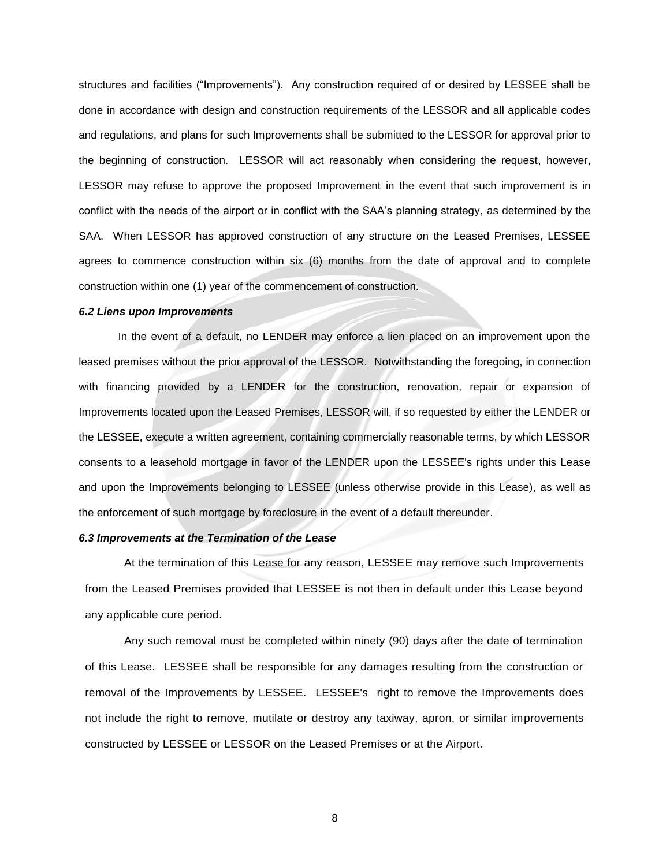structures and facilities ("Improvements"). Any construction required of or desired by LESSEE shall be done in accordance with design and construction requirements of the LESSOR and all applicable codes and regulations, and plans for such Improvements shall be submitted to the LESSOR for approval prior to the beginning of construction. LESSOR will act reasonably when considering the request, however, LESSOR may refuse to approve the proposed Improvement in the event that such improvement is in conflict with the needs of the airport or in conflict with the SAA's planning strategy, as determined by the SAA. When LESSOR has approved construction of any structure on the Leased Premises, LESSEE agrees to commence construction within six (6) months from the date of approval and to complete construction within one (1) year of the commencement of construction.

#### *6.2 Liens upon Improvements*

In the event of a default, no LENDER may enforce a lien placed on an improvement upon the leased premises without the prior approval of the LESSOR. Notwithstanding the foregoing, in connection with financing provided by a LENDER for the construction, renovation, repair or expansion of Improvements located upon the Leased Premises, LESSOR will, if so requested by either the LENDER or the LESSEE, execute a written agreement, containing commercially reasonable terms, by which LESSOR consents to a leasehold mortgage in favor of the LENDER upon the LESSEE's rights under this Lease and upon the Improvements belonging to LESSEE (unless otherwise provide in this Lease), as well as the enforcement of such mortgage by foreclosure in the event of a default thereunder.

### *6.3 Improvements at the Termination of the Lease*

At the termination of this Lease for any reason, LESSEE may remove such Improvements from the Leased Premises provided that LESSEE is not then in default under this Lease beyond any applicable cure period.

Any such removal must be completed within ninety (90) days after the date of termination of this Lease. LESSEE shall be responsible for any damages resulting from the construction or removal of the Improvements by LESSEE. LESSEE's right to remove the Improvements does not include the right to remove, mutilate or destroy any taxiway, apron, or similar improvements constructed by LESSEE or LESSOR on the Leased Premises or at the Airport.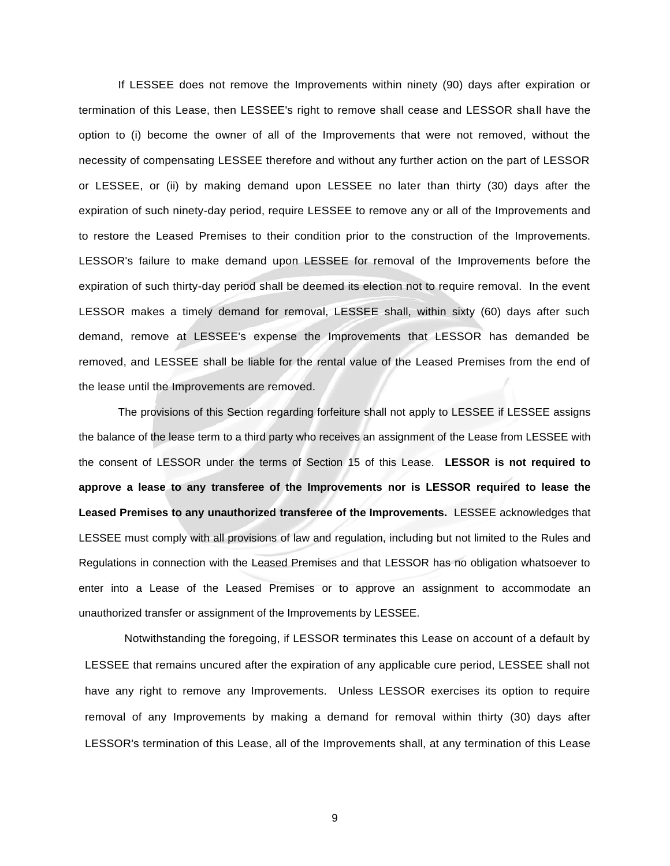If LESSEE does not remove the Improvements within ninety (90) days after expiration or termination of this Lease, then LESSEE's right to remove shall cease and LESSOR shall have the option to (i) become the owner of all of the Improvements that were not removed, without the necessity of compensating LESSEE therefore and without any further action on the part of LESSOR or LESSEE, or (ii) by making demand upon LESSEE no later than thirty (30) days after the expiration of such ninety-day period, require LESSEE to remove any or all of the Improvements and to restore the Leased Premises to their condition prior to the construction of the Improvements. LESSOR's failure to make demand upon LESSEE for removal of the Improvements before the expiration of such thirty-day period shall be deemed its election not to require removal. In the event LESSOR makes a timely demand for removal, LESSEE shall, within sixty (60) days after such demand, remove at LESSEE's expense the Improvements that LESSOR has demanded be removed, and LESSEE shall be liable for the rental value of the Leased Premises from the end of the lease until the Improvements are removed.

The provisions of this Section regarding forfeiture shall not apply to LESSEE if LESSEE assigns the balance of the lease term to a third party who receives an assignment of the Lease from LESSEE with the consent of LESSOR under the terms of Section 15 of this Lease. **LESSOR is not required to approve a lease to any transferee of the Improvements nor is LESSOR required to lease the Leased Premises to any unauthorized transferee of the Improvements.** LESSEE acknowledges that LESSEE must comply with all provisions of law and regulation, including but not limited to the Rules and Regulations in connection with the Leased Premises and that LESSOR has no obligation whatsoever to enter into a Lease of the Leased Premises or to approve an assignment to accommodate an unauthorized transfer or assignment of the Improvements by LESSEE.

Notwithstanding the foregoing, if LESSOR terminates this Lease on account of a default by LESSEE that remains uncured after the expiration of any applicable cure period, LESSEE shall not have any right to remove any Improvements. Unless LESSOR exercises its option to require removal of any Improvements by making a demand for removal within thirty (30) days after LESSOR's termination of this Lease, all of the Improvements shall, at any termination of this Lease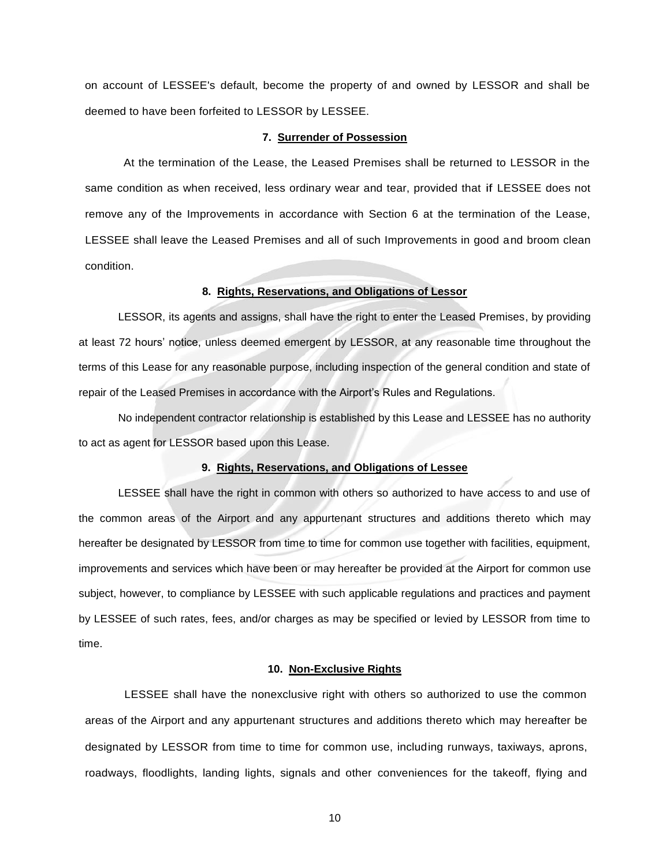on account of LESSEE's default, become the property of and owned by LESSOR and shall be deemed to have been forfeited to LESSOR by LESSEE.

#### **7. Surrender of Possession**

At the termination of the Lease, the Leased Premises shall be returned to LESSOR in the same condition as when received, less ordinary wear and tear, provided that if LESSEE does not remove any of the Improvements in accordance with Section 6 at the termination of the Lease, LESSEE shall leave the Leased Premises and all of such Improvements in good and broom clean condition.

### **8. Rights, Reservations, and Obligations of Lessor**

LESSOR, its agents and assigns, shall have the right to enter the Leased Premises, by providing at least 72 hours' notice, unless deemed emergent by LESSOR, at any reasonable time throughout the terms of this Lease for any reasonable purpose, including inspection of the general condition and state of repair of the Leased Premises in accordance with the Airport's Rules and Regulations.

No independent contractor relationship is established by this Lease and LESSEE has no authority to act as agent for LESSOR based upon this Lease.

#### **9. Rights, Reservations, and Obligations of Lessee**

LESSEE shall have the right in common with others so authorized to have access to and use of the common areas of the Airport and any appurtenant structures and additions thereto which may hereafter be designated by LESSOR from time to time for common use together with facilities, equipment, improvements and services which have been or may hereafter be provided at the Airport for common use subject, however, to compliance by LESSEE with such applicable regulations and practices and payment by LESSEE of such rates, fees, and/or charges as may be specified or levied by LESSOR from time to time.

### **10. Non-Exclusive Rights**

LESSEE shall have the nonexclusive right with others so authorized to use the common areas of the Airport and any appurtenant structures and additions thereto which may hereafter be designated by LESSOR from time to time for common use, including runways, taxiways, aprons, roadways, floodlights, landing lights, signals and other conveniences for the takeoff, flying and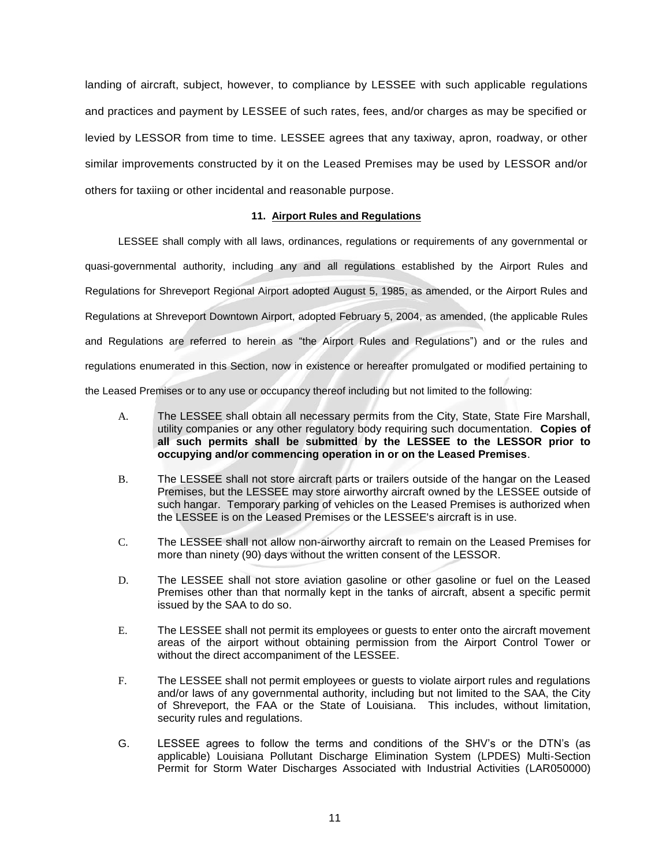landing of aircraft, subject, however, to compliance by LESSEE with such applicable regulations and practices and payment by LESSEE of such rates, fees, and/or charges as may be specified or levied by LESSOR from time to time. LESSEE agrees that any taxiway, apron, roadway, or other similar improvements constructed by it on the Leased Premises may be used by LESSOR and/or others for taxiing or other incidental and reasonable purpose.

### **11. Airport Rules and Regulations**

LESSEE shall comply with all laws, ordinances, regulations or requirements of any governmental or quasi-governmental authority, including any and all regulations established by the Airport Rules and Regulations for Shreveport Regional Airport adopted August 5, 1985, as amended, or the Airport Rules and Regulations at Shreveport Downtown Airport, adopted February 5, 2004, as amended, (the applicable Rules and Regulations are referred to herein as "the Airport Rules and Regulations") and or the rules and regulations enumerated in this Section, now in existence or hereafter promulgated or modified pertaining to the Leased Premises or to any use or occupancy thereof including but not limited to the following:

- A. The LESSEE shall obtain all necessary permits from the City, State, State Fire Marshall, utility companies or any other regulatory body requiring such documentation. **Copies of all such permits shall be submitted by the LESSEE to the LESSOR prior to occupying and/or commencing operation in or on the Leased Premises**.
- B. The LESSEE shall not store aircraft parts or trailers outside of the hangar on the Leased Premises, but the LESSEE may store airworthy aircraft owned by the LESSEE outside of such hangar. Temporary parking of vehicles on the Leased Premises is authorized when the LESSEE is on the Leased Premises or the LESSEE's aircraft is in use.
- C. The LESSEE shall not allow non-airworthy aircraft to remain on the Leased Premises for more than ninety (90) days without the written consent of the LESSOR.
- D. The LESSEE shall not store aviation gasoline or other gasoline or fuel on the Leased Premises other than that normally kept in the tanks of aircraft, absent a specific permit issued by the SAA to do so.
- E. The LESSEE shall not permit its employees or guests to enter onto the aircraft movement areas of the airport without obtaining permission from the Airport Control Tower or without the direct accompaniment of the LESSEE.
- F. The LESSEE shall not permit employees or guests to violate airport rules and regulations and/or laws of any governmental authority, including but not limited to the SAA, the City of Shreveport, the FAA or the State of Louisiana. This includes, without limitation, security rules and regulations.
- G. LESSEE agrees to follow the terms and conditions of the SHV's or the DTN's (as applicable) Louisiana Pollutant Discharge Elimination System (LPDES) Multi-Section Permit for Storm Water Discharges Associated with Industrial Activities (LAR050000)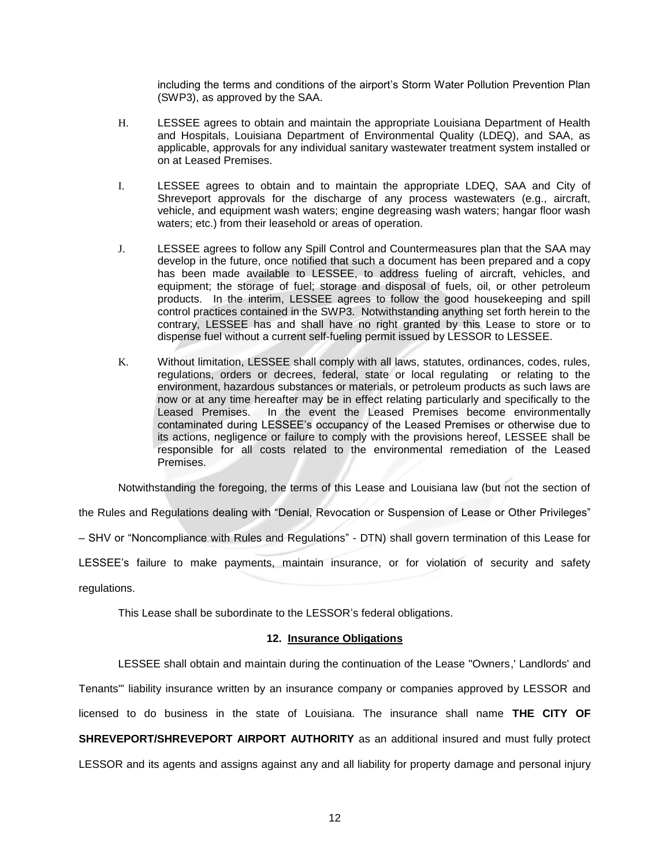including the terms and conditions of the airport's Storm Water Pollution Prevention Plan (SWP3), as approved by the SAA.

- H. LESSEE agrees to obtain and maintain the appropriate Louisiana Department of Health and Hospitals, Louisiana Department of Environmental Quality (LDEQ), and SAA, as applicable, approvals for any individual sanitary wastewater treatment system installed or on at Leased Premises.
- I. LESSEE agrees to obtain and to maintain the appropriate LDEQ, SAA and City of Shreveport approvals for the discharge of any process wastewaters (e.g., aircraft, vehicle, and equipment wash waters; engine degreasing wash waters; hangar floor wash waters; etc.) from their leasehold or areas of operation.
- J. LESSEE agrees to follow any Spill Control and Countermeasures plan that the SAA may develop in the future, once notified that such a document has been prepared and a copy has been made available to LESSEE, to address fueling of aircraft, vehicles, and equipment; the storage of fuel; storage and disposal of fuels, oil, or other petroleum products. In the interim, LESSEE agrees to follow the good housekeeping and spill control practices contained in the SWP3. Notwithstanding anything set forth herein to the contrary, LESSEE has and shall have no right granted by this Lease to store or to dispense fuel without a current self-fueling permit issued by LESSOR to LESSEE.
- K. Without limitation, LESSEE shall comply with all laws, statutes, ordinances, codes, rules, regulations, orders or decrees, federal, state or local regulating or relating to the environment, hazardous substances or materials, or petroleum products as such laws are now or at any time hereafter may be in effect relating particularly and specifically to the Leased Premises. In the event the Leased Premises become environmentally contaminated during LESSEE's occupancy of the Leased Premises or otherwise due to its actions, negligence or failure to comply with the provisions hereof, LESSEE shall be responsible for all costs related to the environmental remediation of the Leased Premises.

Notwithstanding the foregoing, the terms of this Lease and Louisiana law (but not the section of

the Rules and Regulations dealing with "Denial, Revocation or Suspension of Lease or Other Privileges"

– SHV or "Noncompliance with Rules and Regulations" - DTN) shall govern termination of this Lease for

LESSEE's failure to make payments, maintain insurance, or for violation of security and safety

regulations.

This Lease shall be subordinate to the LESSOR's federal obligations.

### **12. Insurance Obligations**

LESSEE shall obtain and maintain during the continuation of the Lease "Owners,' Landlords' and Tenants'" liability insurance written by an insurance company or companies approved by LESSOR and licensed to do business in the state of Louisiana. The insurance shall name **THE CITY OF SHREVEPORT/SHREVEPORT AIRPORT AUTHORITY** as an additional insured and must fully protect LESSOR and its agents and assigns against any and all liability for property damage and personal injury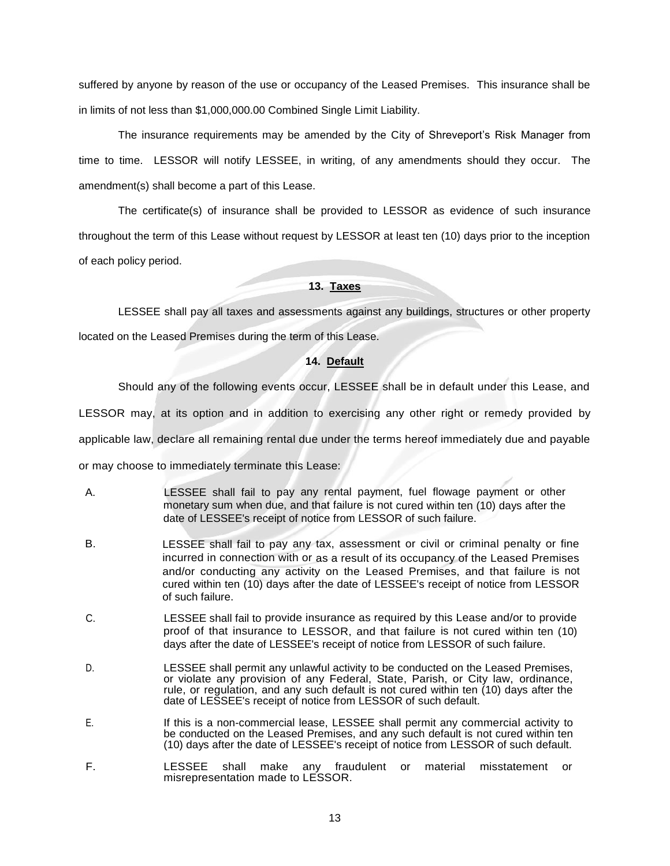suffered by anyone by reason of the use or occupancy of the Leased Premises. This insurance shall be in limits of not less than \$1,000,000.00 Combined Single Limit Liability.

The insurance requirements may be amended by the City of Shreveport's Risk Manager from time to time. LESSOR will notify LESSEE, in writing, of any amendments should they occur. The amendment(s) shall become a part of this Lease.

The certificate(s) of insurance shall be provided to LESSOR as evidence of such insurance throughout the term of this Lease without request by LESSOR at least ten (10) days prior to the inception of each policy period.

# **13. Taxes**

LESSEE shall pay all taxes and assessments against any buildings, structures or other property

located on the Leased Premises during the term of this Lease.

### **14. Default**

Should any of the following events occur, LESSEE shall be in default under this Lease, and

LESSOR may, at its option and in addition to exercising any other right or remedy provided by

applicable law, declare all remaining rental due under the terms hereof immediately due and payable

or may choose to immediately terminate this Lease:

- A. LESSEE shall fail to pay any rental payment, fuel flowage payment or other monetary sum when due, and that failure is not cured within ten (10) days after the date of LESSEE's receipt of notice from LESSOR of such failure.
- B. LESSEE shall fail to pay any tax, assessment or civil or criminal penalty or fine incurred in connection with or as a result of its occupancy of the Leased Premises and/or conducting any activity on the Leased Premises, and that failure is not cured within ten (10) days after the date of LESSEE's receipt of notice from LESSOR of such failure.
- C. LESSEE shall fail to provide insurance as required by this Lease and/or to provide proof of that insurance to LESSOR, and that failure is not cured within ten (10) days after the date of LESSEE's receipt of notice from LESSOR of such failure.
- D. LESSEE shall permit any unlawful activity to be conducted on the Leased Premises, or violate any provision of any Federal, State, Parish, or City law, ordinance, rule, or regulation, and any such default is not cured within ten (10) days after the date of LESSEE's receipt of notice from LESSOR of such default.
- E. If this is a non-commercial lease, LESSEE shall permit any commercial activity to be conducted on the Leased Premises, and any such default is not cured within ten (10) days after the date of LESSEE's receipt of notice from LESSOR of such default.
- F. LESSEE shall make any fraudulent or material misstatement or misrepresentation made to LESSOR.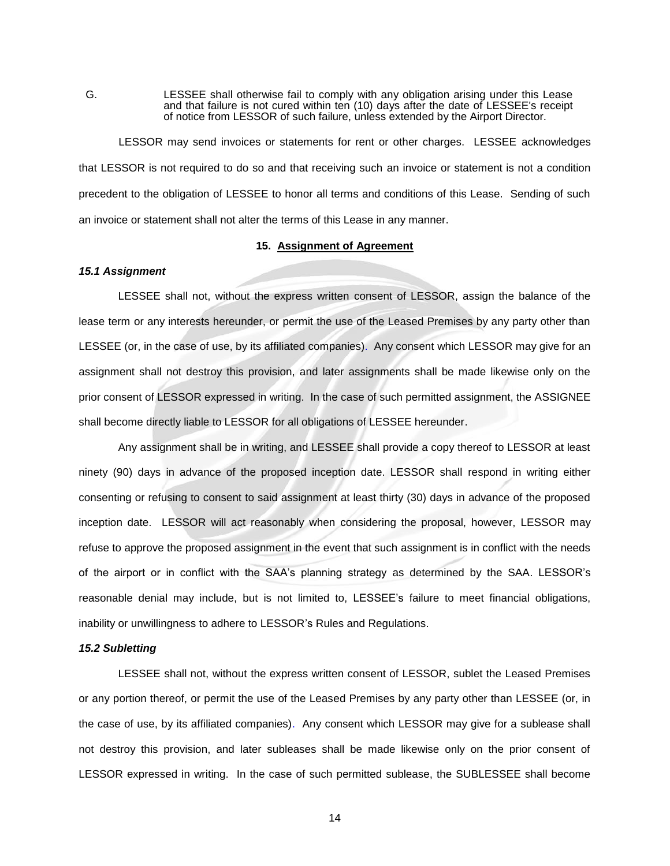G. LESSEE shall otherwise fail to comply with any obligation arising under this Lease and that failure is not cured within ten (10) days after the date of LESSEE's receipt of notice from LESSOR of such failure, unless extended by the Airport Director.

LESSOR may send invoices or statements for rent or other charges. LESSEE acknowledges that LESSOR is not required to do so and that receiving such an invoice or statement is not a condition precedent to the obligation of LESSEE to honor all terms and conditions of this Lease. Sending of such an invoice or statement shall not alter the terms of this Lease in any manner.

### **15. Assignment of Agreement**

### *15.1 Assignment*

LESSEE shall not, without the express written consent of LESSOR, assign the balance of the lease term or any interests hereunder, or permit the use of the Leased Premises by any party other than LESSEE (or, in the case of use, by its affiliated companies). Any consent which LESSOR may give for an assignment shall not destroy this provision, and later assignments shall be made likewise only on the prior consent of LESSOR expressed in writing. In the case of such permitted assignment, the ASSIGNEE shall become directly liable to LESSOR for all obligations of LESSEE hereunder.

Any assignment shall be in writing, and LESSEE shall provide a copy thereof to LESSOR at least ninety (90) days in advance of the proposed inception date. LESSOR shall respond in writing either consenting or refusing to consent to said assignment at least thirty (30) days in advance of the proposed inception date. LESSOR will act reasonably when considering the proposal, however, LESSOR may refuse to approve the proposed assignment in the event that such assignment is in conflict with the needs of the airport or in conflict with the SAA's planning strategy as determined by the SAA. LESSOR's reasonable denial may include, but is not limited to, LESSEE's failure to meet financial obligations, inability or unwillingness to adhere to LESSOR's Rules and Regulations.

#### *15.2 Subletting*

LESSEE shall not, without the express written consent of LESSOR, sublet the Leased Premises or any portion thereof, or permit the use of the Leased Premises by any party other than LESSEE (or, in the case of use, by its affiliated companies). Any consent which LESSOR may give for a sublease shall not destroy this provision, and later subleases shall be made likewise only on the prior consent of LESSOR expressed in writing. In the case of such permitted sublease, the SUBLESSEE shall become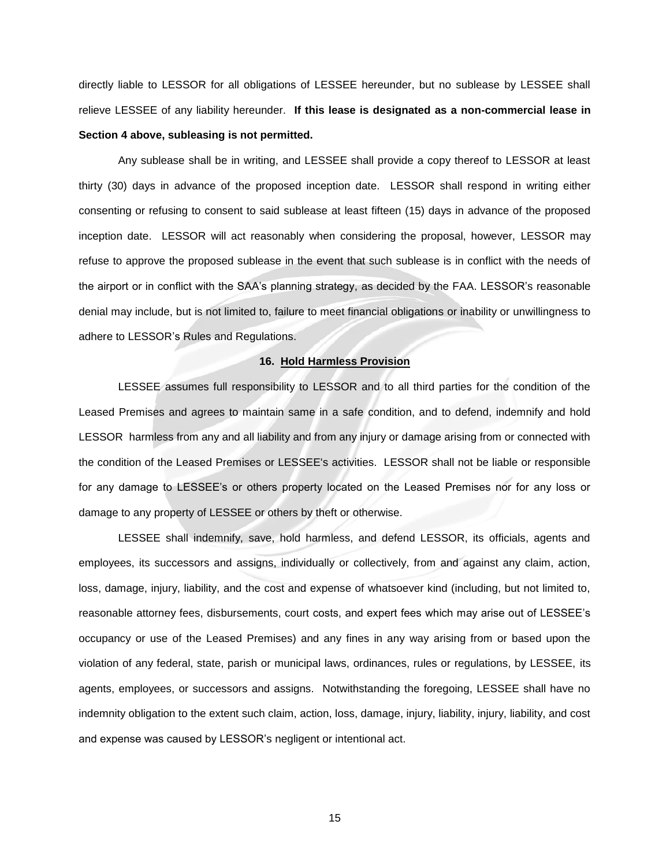directly liable to LESSOR for all obligations of LESSEE hereunder, but no sublease by LESSEE shall relieve LESSEE of any liability hereunder. **If this lease is designated as a non-commercial lease in Section 4 above, subleasing is not permitted.**

Any sublease shall be in writing, and LESSEE shall provide a copy thereof to LESSOR at least thirty (30) days in advance of the proposed inception date. LESSOR shall respond in writing either consenting or refusing to consent to said sublease at least fifteen (15) days in advance of the proposed inception date. LESSOR will act reasonably when considering the proposal, however, LESSOR may refuse to approve the proposed sublease in the event that such sublease is in conflict with the needs of the airport or in conflict with the SAA's planning strategy, as decided by the FAA. LESSOR's reasonable denial may include, but is not limited to, failure to meet financial obligations or inability or unwillingness to adhere to LESSOR's Rules and Regulations.

#### **16. Hold Harmless Provision**

LESSEE assumes full responsibility to LESSOR and to all third parties for the condition of the Leased Premises and agrees to maintain same in a safe condition, and to defend, indemnify and hold LESSOR harmless from any and all liability and from any injury or damage arising from or connected with the condition of the Leased Premises or LESSEE's activities. LESSOR shall not be liable or responsible for any damage to LESSEE's or others property located on the Leased Premises nor for any loss or damage to any property of LESSEE or others by theft or otherwise.

LESSEE shall indemnify, save, hold harmless, and defend LESSOR, its officials, agents and employees, its successors and assigns, individually or collectively, from and against any claim, action, loss, damage, injury, liability, and the cost and expense of whatsoever kind (including, but not limited to, reasonable attorney fees, disbursements, court costs, and expert fees which may arise out of LESSEE's occupancy or use of the Leased Premises) and any fines in any way arising from or based upon the violation of any federal, state, parish or municipal laws, ordinances, rules or regulations, by LESSEE, its agents, employees, or successors and assigns. Notwithstanding the foregoing, LESSEE shall have no indemnity obligation to the extent such claim, action, loss, damage, injury, liability, injury, liability, and cost and expense was caused by LESSOR's negligent or intentional act.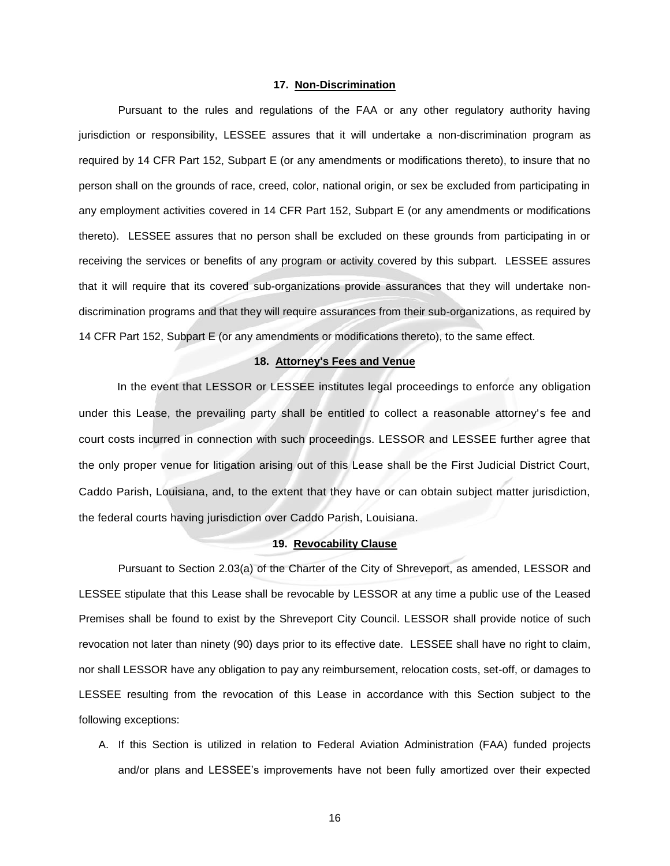### **17. Non-Discrimination**

Pursuant to the rules and regulations of the FAA or any other regulatory authority having jurisdiction or responsibility, LESSEE assures that it will undertake a non-discrimination program as required by 14 CFR Part 152, Subpart E (or any amendments or modifications thereto), to insure that no person shall on the grounds of race, creed, color, national origin, or sex be excluded from participating in any employment activities covered in 14 CFR Part 152, Subpart E (or any amendments or modifications thereto). LESSEE assures that no person shall be excluded on these grounds from participating in or receiving the services or benefits of any program or activity covered by this subpart. LESSEE assures that it will require that its covered sub-organizations provide assurances that they will undertake nondiscrimination programs and that they will require assurances from their sub-organizations, as required by 14 CFR Part 152, Subpart E (or any amendments or modifications thereto), to the same effect.

### **18. Attorney's Fees and Venue**

In the event that LESSOR or LESSEE institutes legal proceedings to enforce any obligation under this Lease, the prevailing party shall be entitled to collect a reasonable attorney's fee and court costs incurred in connection with such proceedings. LESSOR and LESSEE further agree that the only proper venue for litigation arising out of this Lease shall be the First Judicial District Court, Caddo Parish, Louisiana, and, to the extent that they have or can obtain subject matter jurisdiction, the federal courts having jurisdiction over Caddo Parish, Louisiana.

### **19. Revocability Clause**

Pursuant to Section 2.03(a) of the Charter of the City of Shreveport, as amended, LESSOR and LESSEE stipulate that this Lease shall be revocable by LESSOR at any time a public use of the Leased Premises shall be found to exist by the Shreveport City Council. LESSOR shall provide notice of such revocation not later than ninety (90) days prior to its effective date. LESSEE shall have no right to claim, nor shall LESSOR have any obligation to pay any reimbursement, relocation costs, set-off, or damages to LESSEE resulting from the revocation of this Lease in accordance with this Section subject to the following exceptions:

A. If this Section is utilized in relation to Federal Aviation Administration (FAA) funded projects and/or plans and LESSEE's improvements have not been fully amortized over their expected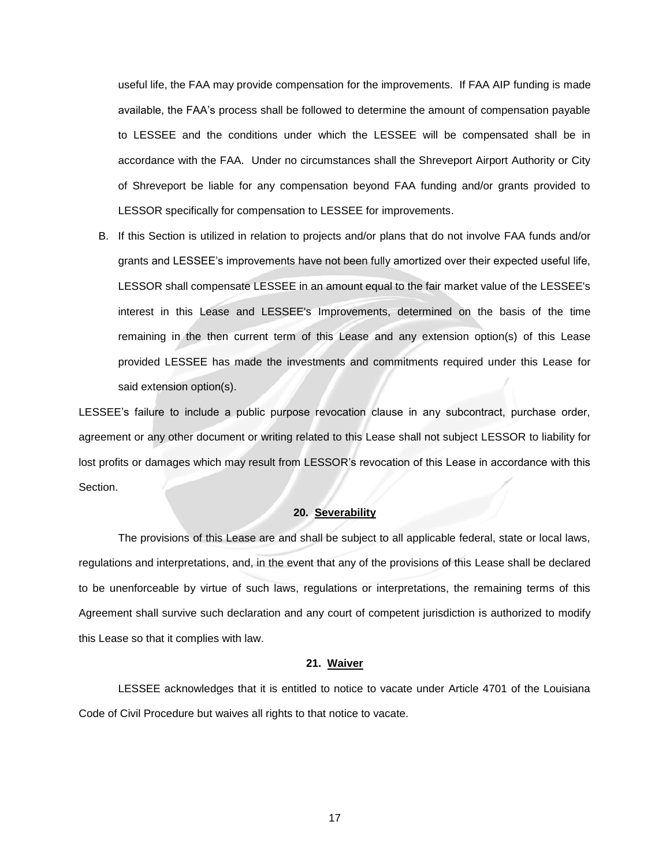useful life, the FAA may provide compensation for the improvements. If FAA AIP funding is made available, the FAA's process shall be followed to determine the amount of compensation payable to LESSEE and the conditions under which the LESSEE will be compensated shall be in accordance with the FAA. Under no circumstances shall the Shreveport Airport Authority or City of Shreveport be liable for any compensation beyond FAA funding and/or grants provided to LESSOR specifically for compensation to LESSEE for improvements.

B. If this Section is utilized in relation to projects and/or plans that do not involve FAA funds and/or grants and LESSEE's improvements have not been fully amortized over their expected useful life, LESSOR shall compensate LESSEE in an amount equal to the fair market value of the LESSEE's interest in this Lease and LESSEE's Improvements, determined on the basis of the time remaining in the then current term of this Lease and any extension option(s) of this Lease provided LESSEE has made the investments and commitments required under this Lease for said extension option(s).

LESSEE's failure to include a public purpose revocation clause in any subcontract, purchase order, agreement or any other document or writing related to this Lease shall not subject LESSOR to liability for lost profits or damages which may result from LESSOR's revocation of this Lease in accordance with this Section.

#### **20. Severability**

The provisions of this Lease are and shall be subject to all applicable federal, state or local laws, regulations and interpretations, and, in the event that any of the provisions of this Lease shall be declared to be unenforceable by virtue of such laws, regulations or interpretations, the remaining terms of this Agreement shall survive such declaration and any court of competent jurisdiction is authorized to modify this Lease so that it complies with law.

### **21. Waiver**

LESSEE acknowledges that it is entitled to notice to vacate under Article 4701 of the Louisiana Code of Civil Procedure but waives all rights to that notice to vacate.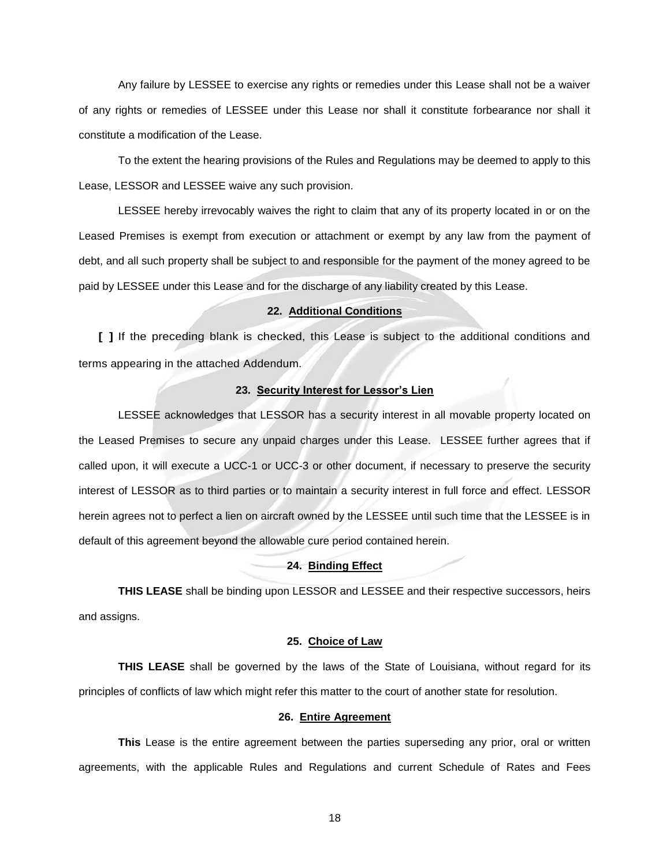Any failure by LESSEE to exercise any rights or remedies under this Lease shall not be a waiver of any rights or remedies of LESSEE under this Lease nor shall it constitute forbearance nor shall it constitute a modification of the Lease.

To the extent the hearing provisions of the Rules and Regulations may be deemed to apply to this Lease, LESSOR and LESSEE waive any such provision.

LESSEE hereby irrevocably waives the right to claim that any of its property located in or on the Leased Premises is exempt from execution or attachment or exempt by any law from the payment of debt, and all such property shall be subject to and responsible for the payment of the money agreed to be paid by LESSEE under this Lease and for the discharge of any liability created by this Lease.

#### **22. Additional Conditions**

**[ ]** If the preceding blank is checked, this Lease is subject to the additional conditions and terms appearing in the attached Addendum.

### **23. Security Interest for Lessor's Lien**

LESSEE acknowledges that LESSOR has a security interest in all movable property located on the Leased Premises to secure any unpaid charges under this Lease. LESSEE further agrees that if called upon, it will execute a UCC-1 or UCC-3 or other document, if necessary to preserve the security interest of LESSOR as to third parties or to maintain a security interest in full force and effect. LESSOR herein agrees not to perfect a lien on aircraft owned by the LESSEE until such time that the LESSEE is in default of this agreement beyond the allowable cure period contained herein.

### **24. Binding Effect**

**THIS LEASE** shall be binding upon LESSOR and LESSEE and their respective successors, heirs and assigns.

### **25. Choice of Law**

**THIS LEASE** shall be governed by the laws of the State of Louisiana, without regard for its principles of conflicts of law which might refer this matter to the court of another state for resolution.

### **26. Entire Agreement**

**This** Lease is the entire agreement between the parties superseding any prior, oral or written agreements, with the applicable Rules and Regulations and current Schedule of Rates and Fees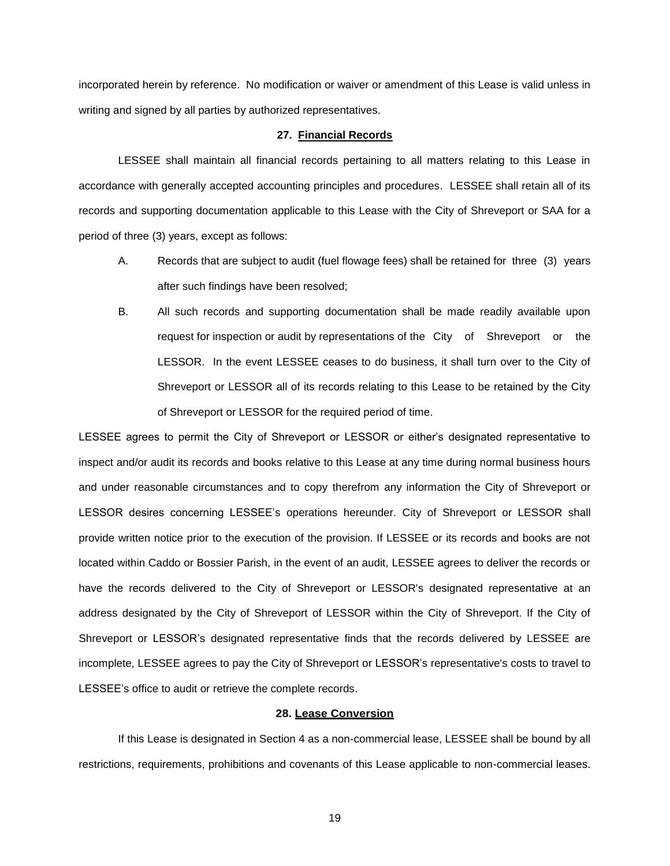incorporated herein by reference. No modification or waiver or amendment of this Lease is valid unless in writing and signed by all parties by authorized representatives.

#### **27. Financial Records**

LESSEE shall maintain all financial records pertaining to all matters relating to this Lease in accordance with generally accepted accounting principles and procedures. LESSEE shall retain all of its records and supporting documentation applicable to this Lease with the City of Shreveport or SAA for a period of three (3) years, except as follows:

- A. Records that are subject to audit (fuel flowage fees) shall be retained for three (3) years after such findings have been resolved;
- B. All such records and supporting documentation shall be made readily available upon request for inspection or audit by representations of the City of Shreveport or the LESSOR. In the event LESSEE ceases to do business, it shall turn over to the City of Shreveport or LESSOR all of its records relating to this Lease to be retained by the City of Shreveport or LESSOR for the required period of time.

LESSEE agrees to permit the City of Shreveport or LESSOR or either's designated representative to inspect and/or audit its records and books relative to this Lease at any time during normal business hours and under reasonable circumstances and to copy therefrom any information the City of Shreveport or LESSOR desires concerning LESSEE's operations hereunder. City of Shreveport or LESSOR shall provide written notice prior to the execution of the provision. If LESSEE or its records and books are not located within Caddo or Bossier Parish, in the event of an audit, LESSEE agrees to deliver the records or have the records delivered to the City of Shreveport or LESSOR's designated representative at an address designated by the City of Shreveport of LESSOR within the City of Shreveport. If the City of Shreveport or LESSOR's designated representative finds that the records delivered by LESSEE are incomplete, LESSEE agrees to pay the City of Shreveport or LESSOR's representative's costs to travel to LESSEE's office to audit or retrieve the complete records.

#### **28. Lease Conversion**

If this Lease is designated in Section 4 as a non-commercial lease, LESSEE shall be bound by all restrictions, requirements, prohibitions and covenants of this Lease applicable to non-commercial leases.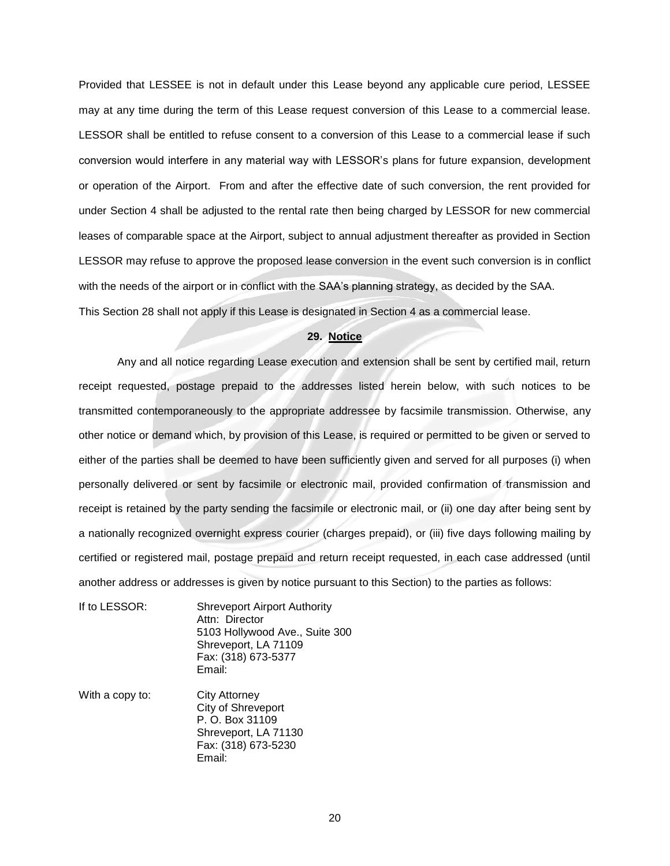Provided that LESSEE is not in default under this Lease beyond any applicable cure period, LESSEE may at any time during the term of this Lease request conversion of this Lease to a commercial lease. LESSOR shall be entitled to refuse consent to a conversion of this Lease to a commercial lease if such conversion would interfere in any material way with LESSOR's plans for future expansion, development or operation of the Airport. From and after the effective date of such conversion, the rent provided for under Section 4 shall be adjusted to the rental rate then being charged by LESSOR for new commercial leases of comparable space at the Airport, subject to annual adjustment thereafter as provided in Section LESSOR may refuse to approve the proposed lease conversion in the event such conversion is in conflict with the needs of the airport or in conflict with the SAA's planning strategy, as decided by the SAA. This Section 28 shall not apply if this Lease is designated in Section 4 as a commercial lease.

### **29. Notice**

Any and all notice regarding Lease execution and extension shall be sent by certified mail, return receipt requested, postage prepaid to the addresses listed herein below, with such notices to be transmitted contemporaneously to the appropriate addressee by facsimile transmission. Otherwise, any other notice or demand which, by provision of this Lease, is required or permitted to be given or served to either of the parties shall be deemed to have been sufficiently given and served for all purposes (i) when personally delivered or sent by facsimile or electronic mail, provided confirmation of transmission and receipt is retained by the party sending the facsimile or electronic mail, or (ii) one day after being sent by a nationally recognized overnight express courier (charges prepaid), or (iii) five days following mailing by certified or registered mail, postage prepaid and return receipt requested, in each case addressed (until another address or addresses is given by notice pursuant to this Section) to the parties as follows:

- If to LESSOR: Shreveport Airport Authority Attn: Director 5103 Hollywood Ave., Suite 300 Shreveport, LA 71109 Fax: (318) 673-5377 Email:
- With a copy to: City Attorney City of Shreveport P. O. Box 31109 Shreveport, LA 71130 Fax: (318) 673-5230 Email: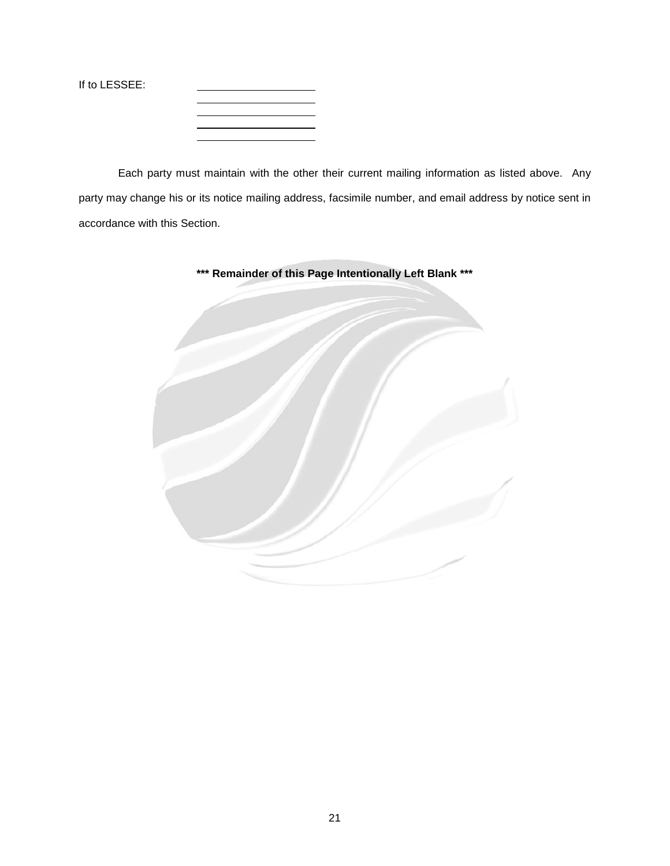If to LESSEE:

Each party must maintain with the other their current mailing information as listed above. Any party may change his or its notice mailing address, facsimile number, and email address by notice sent in accordance with this Section.